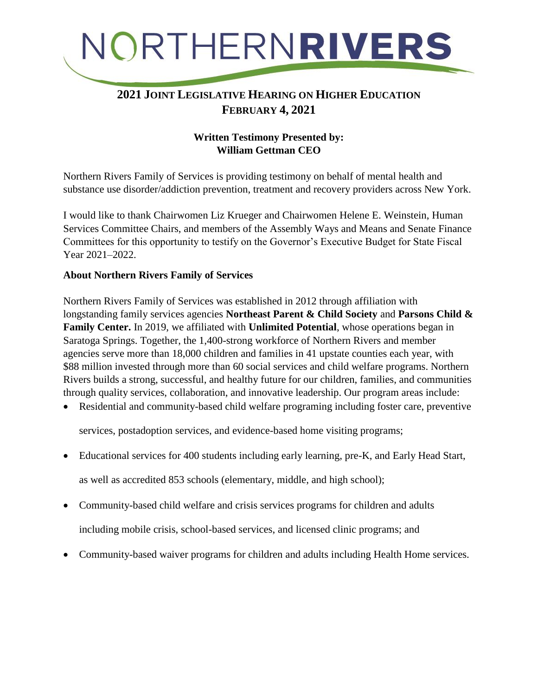

### **2021 JOINT LEGISLATIVE HEARING ON HIGHER EDUCATION FEBRUARY 4, 2021**

#### **Written Testimony Presented by: William Gettman CEO**

Northern Rivers Family of Services is providing testimony on behalf of mental health and substance use disorder/addiction prevention, treatment and recovery providers across New York.

I would like to thank Chairwomen Liz Krueger and Chairwomen Helene E. Weinstein, Human Services Committee Chairs, and members of the Assembly Ways and Means and Senate Finance Committees for this opportunity to testify on the Governor's Executive Budget for State Fiscal Year 2021–2022.

#### **About Northern Rivers Family of Services**

Northern Rivers Family of Services was established in 2012 through affiliation with longstanding family services agencies **Northeast Parent & Child Society** and **Parsons Child & Family Center.** In 2019, we affiliated with **Unlimited Potential**, whose operations began in Saratoga Springs. Together, the 1,400-strong workforce of Northern Rivers and member agencies serve more than 18,000 children and families in 41 upstate counties each year, with \$88 million invested through more than 60 social services and child welfare programs. Northern Rivers builds a strong, successful, and healthy future for our children, families, and communities through quality services, collaboration, and innovative leadership. Our program areas include:

Residential and community-based child welfare programing including foster care, preventive

services, postadoption services, and evidence-based home visiting programs;

Educational services for 400 students including early learning, pre-K, and Early Head Start,

as well as accredited 853 schools (elementary, middle, and high school);

- Community-based child welfare and crisis services programs for children and adults including mobile crisis, school-based services, and licensed clinic programs; and
- Community-based waiver programs for children and adults including Health Home services.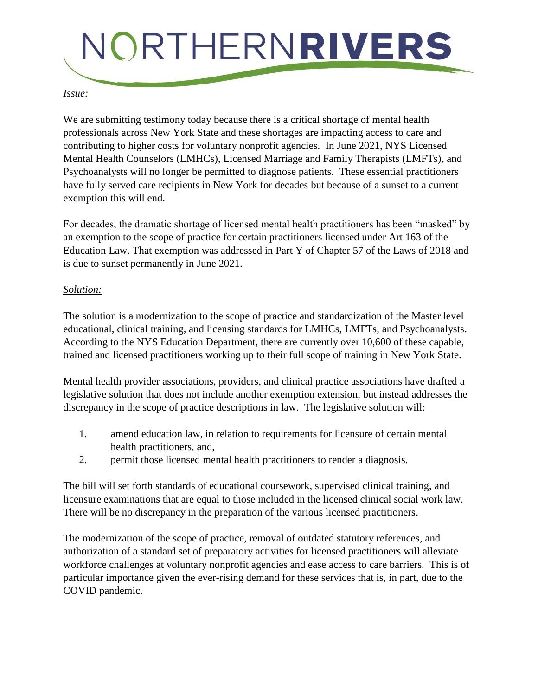# NORTHERNRIVERS

#### *Issue:*

We are submitting testimony today because there is a critical shortage of mental health professionals across New York State and these shortages are impacting access to care and contributing to higher costs for voluntary nonprofit agencies. In June 2021, NYS Licensed Mental Health Counselors (LMHCs), Licensed Marriage and Family Therapists (LMFTs), and Psychoanalysts will no longer be permitted to diagnose patients. These essential practitioners have fully served care recipients in New York for decades but because of a sunset to a current exemption this will end.

For decades, the dramatic shortage of licensed mental health practitioners has been "masked" by an exemption to the scope of practice for certain practitioners licensed under Art 163 of the Education Law. That exemption was addressed in Part Y of Chapter 57 of the Laws of 2018 and is due to sunset permanently in June 2021.

#### *Solution:*

The solution is a modernization to the scope of practice and standardization of the Master level educational, clinical training, and licensing standards for LMHCs, LMFTs, and Psychoanalysts. According to the NYS Education Department, there are currently over 10,600 of these capable, trained and licensed practitioners working up to their full scope of training in New York State.

Mental health provider associations, providers, and clinical practice associations have drafted a legislative solution that does not include another exemption extension, but instead addresses the discrepancy in the scope of practice descriptions in law. The legislative solution will:

- 1. amend education law, in relation to requirements for licensure of certain mental health practitioners, and,
- 2. permit those licensed mental health practitioners to render a diagnosis.

The bill will set forth standards of educational coursework, supervised clinical training, and licensure examinations that are equal to those included in the licensed clinical social work law. There will be no discrepancy in the preparation of the various licensed practitioners.

The modernization of the scope of practice, removal of outdated statutory references, and authorization of a standard set of preparatory activities for licensed practitioners will alleviate workforce challenges at voluntary nonprofit agencies and ease access to care barriers. This is of particular importance given the ever-rising demand for these services that is, in part, due to the COVID pandemic.